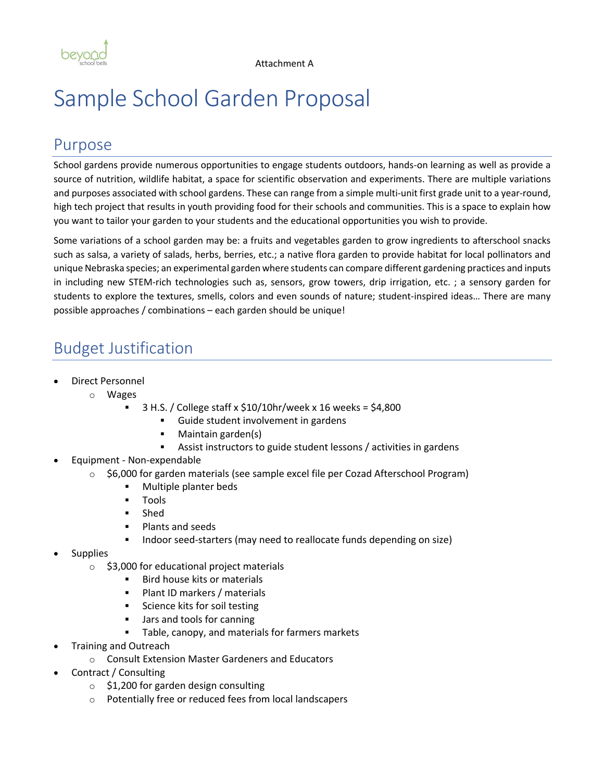

# Sample School Garden Proposal

### Purpose

School gardens provide numerous opportunities to engage students outdoors, hands-on learning as well as provide a source of nutrition, wildlife habitat, a space for scientific observation and experiments. There are multiple variations and purposes associated with school gardens. These can range from a simple multi-unit first grade unit to a year-round, high tech project that results in youth providing food for their schools and communities. This is a space to explain how you want to tailor your garden to your students and the educational opportunities you wish to provide.

Some variations of a school garden may be: a fruits and vegetables garden to grow ingredients to afterschool snacks such as salsa, a variety of salads, herbs, berries, etc.; a native flora garden to provide habitat for local pollinators and unique Nebraska species; an experimental garden where students can compare different gardening practices and inputs in including new STEM-rich technologies such as, sensors, grow towers, drip irrigation, etc. ; a sensory garden for students to explore the textures, smells, colors and even sounds of nature; student-inspired ideas… There are many possible approaches / combinations – each garden should be unique!

## Budget Justification

- Direct Personnel
	- o Wages
		- § 3 H.S. / College staff x \$10/10hr/week x 16 weeks = \$4,800
			- § Guide student involvement in gardens
			- Maintain garden(s)
			- Assist instructors to guide student lessons / activities in gardens
- Equipment Non-expendable
	- $\circ$  \$6,000 for garden materials (see sample excel file per Cozad Afterschool Program)
		- § Multiple planter beds
		- § Tools
		- § Shed
		- § Plants and seeds
		- Indoor seed-starters (may need to reallocate funds depending on size)
- **Supplies** 
	- $\circ$  \$3,000 for educational project materials
		- **■** Bird house kits or materials
		- § Plant ID markers / materials
		- Science kits for soil testing
		- Jars and tools for canning
		- Table, canopy, and materials for farmers markets
- Training and Outreach
	- o Consult Extension Master Gardeners and Educators
- Contract / Consulting
	- o \$1,200 for garden design consulting
	- o Potentially free or reduced fees from local landscapers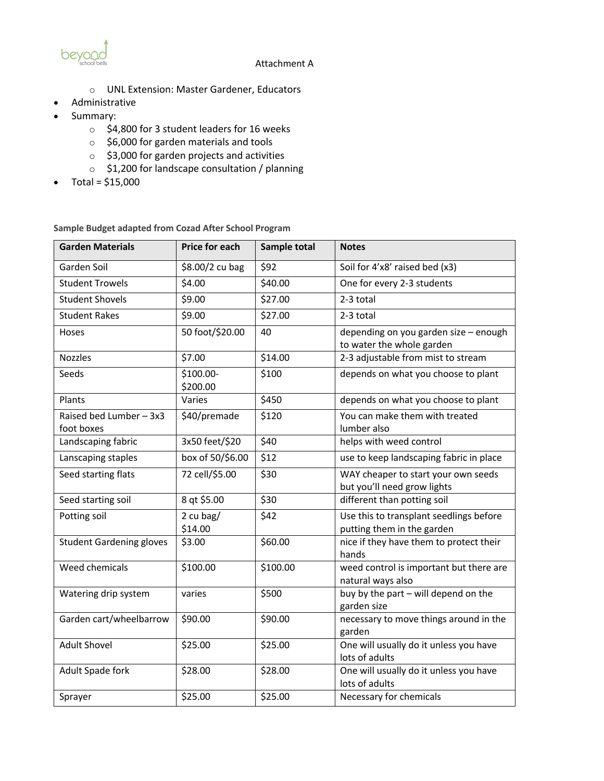

#### Attachment A

- o UNL Extension: Master Gardener, Educators
- Administrative
- Summary:
	- o \$4,800 for 3 student leaders for 16 weeks
	- o \$6,000 for garden materials and tools
	- o \$3,000 for garden projects and activities
	- o \$1,200 for landscape consultation / planning
- Total =  $$15,000$

**Sample Budget adapted from Cozad After School Program**

| <b>Garden Materials</b>               | Price for each        | Sample total | <b>Notes</b>                                                          |
|---------------------------------------|-----------------------|--------------|-----------------------------------------------------------------------|
| Garden Soil                           | \$8.00/2 cu bag       | \$92         | Soil for 4'x8' raised bed (x3)                                        |
| <b>Student Trowels</b>                | \$4.00                | \$40.00      | One for every 2-3 students                                            |
| <b>Student Shovels</b>                | \$9.00                | \$27.00      | 2-3 total                                                             |
| <b>Student Rakes</b>                  | \$9.00                | \$27.00      | 2-3 total                                                             |
| Hoses                                 | 50 foot/\$20.00       | 40           | depending on you garden size - enough<br>to water the whole garden    |
| <b>Nozzles</b>                        | \$7.00                | \$14.00      | 2-3 adjustable from mist to stream                                    |
| Seeds                                 | \$100.00-<br>\$200.00 | \$100        | depends on what you choose to plant                                   |
| Plants                                | Varies                | \$450        | depends on what you choose to plant                                   |
| Raised bed Lumber - 3x3<br>foot boxes | \$40/premade          | \$120        | You can make them with treated<br>lumber also                         |
| Landscaping fabric                    | 3x50 feet/\$20        | \$40         | helps with weed control                                               |
| Lanscaping staples                    | box of 50/\$6.00      | \$12         | use to keep landscaping fabric in place                               |
| Seed starting flats                   | 72 cell/\$5.00        | \$30         | WAY cheaper to start your own seeds<br>but you'll need grow lights    |
| Seed starting soil                    | 8 qt \$5.00           | \$30         | different than potting soil                                           |
| Potting soil                          | 2 cu bag/<br>\$14.00  | \$42         | Use this to transplant seedlings before<br>putting them in the garden |
| <b>Student Gardening gloves</b>       | \$3.00                | \$60.00      | nice if they have them to protect their<br>hands                      |
| Weed chemicals                        | \$100.00              | \$100.00     | weed control is important but there are<br>natural ways also          |
| Watering drip system                  | varies                | \$500        | buy by the part - will depend on the<br>garden size                   |
| Garden cart/wheelbarrow               | \$90.00               | \$90.00      | necessary to move things around in the<br>garden                      |
| <b>Adult Shovel</b>                   | \$25.00               | \$25.00      | One will usually do it unless you have<br>lots of adults              |
| Adult Spade fork                      | \$28.00               | \$28.00      | One will usually do it unless you have<br>lots of adults              |
| Sprayer                               | \$25.00               | \$25.00      | Necessary for chemicals                                               |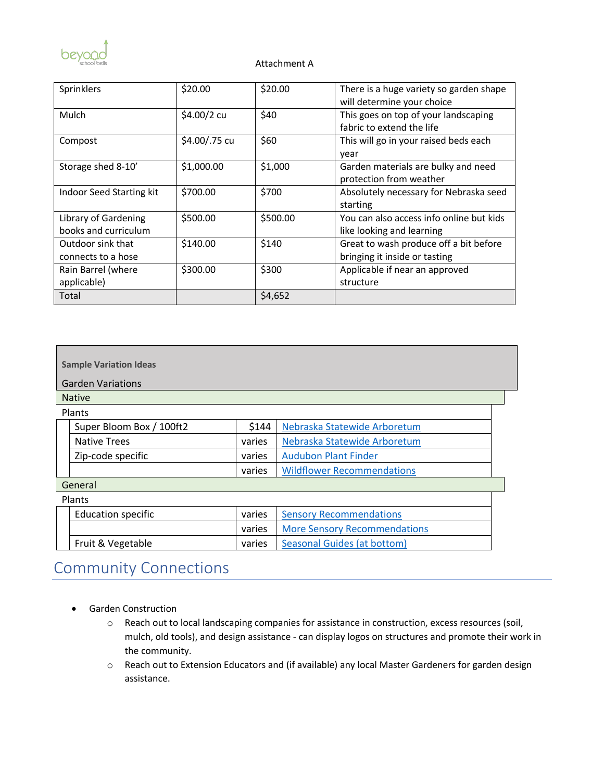

#### Attachment A

| Sprinklers                                   | \$20.00       | \$20.00  | There is a huge variety so garden shape<br>will determine your choice   |
|----------------------------------------------|---------------|----------|-------------------------------------------------------------------------|
| Mulch                                        | \$4.00/2 cu   | \$40     | This goes on top of your landscaping<br>fabric to extend the life       |
| Compost                                      | \$4.00/.75 cu | \$60     | This will go in your raised beds each<br>year                           |
| Storage shed 8-10'                           | \$1,000.00    | \$1,000  | Garden materials are bulky and need<br>protection from weather          |
| Indoor Seed Starting kit                     | \$700.00      | \$700    | Absolutely necessary for Nebraska seed<br>starting                      |
| Library of Gardening<br>books and curriculum | \$500.00      | \$500.00 | You can also access info online but kids<br>like looking and learning   |
| Outdoor sink that<br>connects to a hose      | \$140.00      | \$140    | Great to wash produce off a bit before<br>bringing it inside or tasting |
| Rain Barrel (where<br>applicable)            | \$300.00      | \$300    | Applicable if near an approved<br>structure                             |
| Total                                        |               | \$4,652  |                                                                         |

| <b>Sample Variation Ideas</b> |                           |        |                                     |  |  |
|-------------------------------|---------------------------|--------|-------------------------------------|--|--|
| <b>Garden Variations</b>      |                           |        |                                     |  |  |
| <b>Native</b>                 |                           |        |                                     |  |  |
| Plants                        |                           |        |                                     |  |  |
|                               | Super Bloom Box / 100ft2  | \$144  | Nebraska Statewide Arboretum        |  |  |
|                               | <b>Native Trees</b>       | varies | Nebraska Statewide Arboretum        |  |  |
|                               | Zip-code specific         | varies | <b>Audubon Plant Finder</b>         |  |  |
|                               |                           | varies | <b>Wildflower Recommendations</b>   |  |  |
| General                       |                           |        |                                     |  |  |
| Plants                        |                           |        |                                     |  |  |
|                               | <b>Education specific</b> | varies | <b>Sensory Recommendations</b>      |  |  |
|                               |                           | varies | <b>More Sensory Recommendations</b> |  |  |
|                               | Fruit & Vegetable         | varies | Seasonal Guides (at bottom)         |  |  |

# Community Connections

- Garden Construction
	- o Reach out to local landscaping companies for assistance in construction, excess resources (soil, mulch, old tools), and design assistance - can display logos on structures and promote their work in the community.
	- o Reach out to Extension Educators and (if available) any local Master Gardeners for garden design assistance.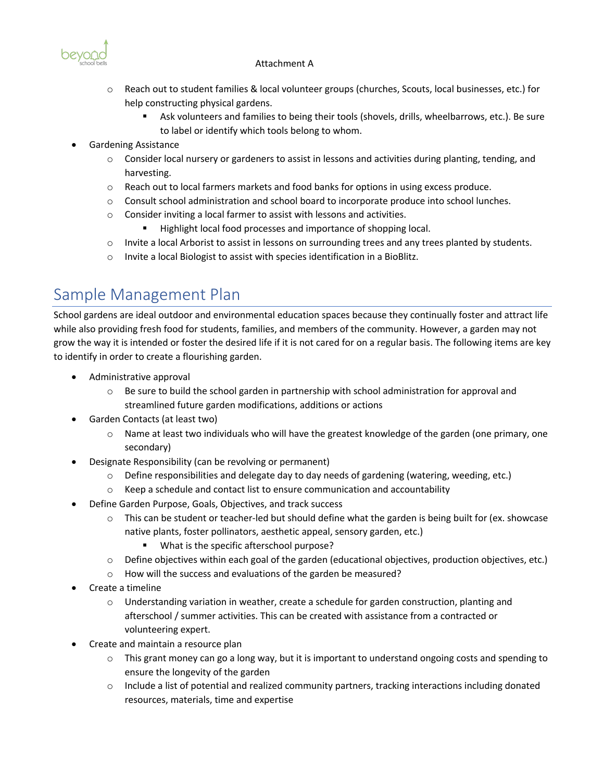#### Attachment A



- o Reach out to student families & local volunteer groups (churches, Scouts, local businesses, etc.) for help constructing physical gardens.
	- Ask volunteers and families to being their tools (shovels, drills, wheelbarrows, etc.). Be sure to label or identify which tools belong to whom.
- Gardening Assistance
	- $\circ$  Consider local nursery or gardeners to assist in lessons and activities during planting, tending, and harvesting.
	- $\circ$  Reach out to local farmers markets and food banks for options in using excess produce.
	- o Consult school administration and school board to incorporate produce into school lunches.
	- o Consider inviting a local farmer to assist with lessons and activities.
		- Highlight local food processes and importance of shopping local.
	- $\circ$  Invite a local Arborist to assist in lessons on surrounding trees and any trees planted by students.
	- o Invite a local Biologist to assist with species identification in a BioBlitz.

### Sample Management Plan

School gardens are ideal outdoor and environmental education spaces because they continually foster and attract life while also providing fresh food for students, families, and members of the community. However, a garden may not grow the way it is intended or foster the desired life if it is not cared for on a regular basis. The following items are key to identify in order to create a flourishing garden.

- Administrative approval
	- $\circ$  Be sure to build the school garden in partnership with school administration for approval and streamlined future garden modifications, additions or actions
- Garden Contacts (at least two)
	- o Name at least two individuals who will have the greatest knowledge of the garden (one primary, one secondary)
- Designate Responsibility (can be revolving or permanent)
	- $\circ$  Define responsibilities and delegate day to day needs of gardening (watering, weeding, etc.)
	- $\circ$  Keep a schedule and contact list to ensure communication and accountability
- Define Garden Purpose, Goals, Objectives, and track success
	- $\circ$  This can be student or teacher-led but should define what the garden is being built for (ex. showcase native plants, foster pollinators, aesthetic appeal, sensory garden, etc.)
		- What is the specific afterschool purpose?
	- $\circ$  Define objectives within each goal of the garden (educational objectives, production objectives, etc.)
	- o How will the success and evaluations of the garden be measured?
- Create a timeline
	- o Understanding variation in weather, create a schedule for garden construction, planting and afterschool / summer activities. This can be created with assistance from a contracted or volunteering expert.
- Create and maintain a resource plan
	- $\circ$  This grant money can go a long way, but it is important to understand ongoing costs and spending to ensure the longevity of the garden
	- o Include a list of potential and realized community partners, tracking interactions including donated resources, materials, time and expertise